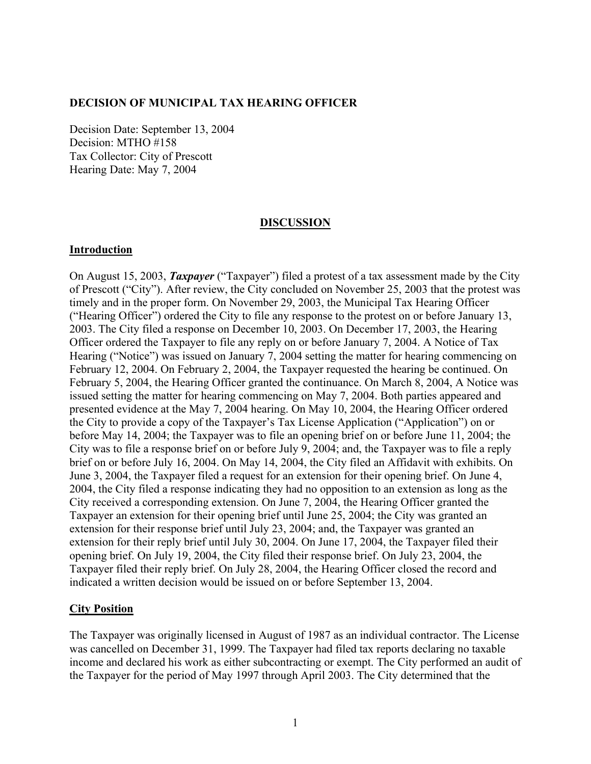### **DECISION OF MUNICIPAL TAX HEARING OFFICER**

Decision Date: September 13, 2004 Decision: MTHO #158 Tax Collector: City of Prescott Hearing Date: May 7, 2004

### **DISCUSSION**

### **Introduction**

On August 15, 2003, *Taxpayer* ("Taxpayer") filed a protest of a tax assessment made by the City of Prescott ("City"). After review, the City concluded on November 25, 2003 that the protest was timely and in the proper form. On November 29, 2003, the Municipal Tax Hearing Officer ("Hearing Officer") ordered the City to file any response to the protest on or before January 13, 2003. The City filed a response on December 10, 2003. On December 17, 2003, the Hearing Officer ordered the Taxpayer to file any reply on or before January 7, 2004. A Notice of Tax Hearing ("Notice") was issued on January 7, 2004 setting the matter for hearing commencing on February 12, 2004. On February 2, 2004, the Taxpayer requested the hearing be continued. On February 5, 2004, the Hearing Officer granted the continuance. On March 8, 2004, A Notice was issued setting the matter for hearing commencing on May 7, 2004. Both parties appeared and presented evidence at the May 7, 2004 hearing. On May 10, 2004, the Hearing Officer ordered the City to provide a copy of the Taxpayer's Tax License Application ("Application") on or before May 14, 2004; the Taxpayer was to file an opening brief on or before June 11, 2004; the City was to file a response brief on or before July 9, 2004; and, the Taxpayer was to file a reply brief on or before July 16, 2004. On May 14, 2004, the City filed an Affidavit with exhibits. On June 3, 2004, the Taxpayer filed a request for an extension for their opening brief. On June 4, 2004, the City filed a response indicating they had no opposition to an extension as long as the City received a corresponding extension. On June 7, 2004, the Hearing Officer granted the Taxpayer an extension for their opening brief until June 25, 2004; the City was granted an extension for their response brief until July 23, 2004; and, the Taxpayer was granted an extension for their reply brief until July 30, 2004. On June 17, 2004, the Taxpayer filed their opening brief. On July 19, 2004, the City filed their response brief. On July 23, 2004, the Taxpayer filed their reply brief. On July 28, 2004, the Hearing Officer closed the record and indicated a written decision would be issued on or before September 13, 2004.

### **City Position**

The Taxpayer was originally licensed in August of 1987 as an individual contractor. The License was cancelled on December 31, 1999. The Taxpayer had filed tax reports declaring no taxable income and declared his work as either subcontracting or exempt. The City performed an audit of the Taxpayer for the period of May 1997 through April 2003. The City determined that the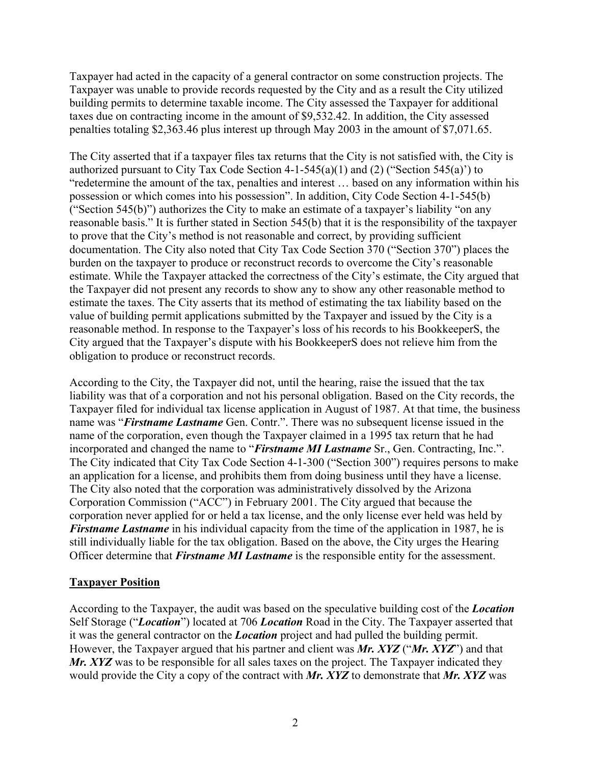Taxpayer had acted in the capacity of a general contractor on some construction projects. The Taxpayer was unable to provide records requested by the City and as a result the City utilized building permits to determine taxable income. The City assessed the Taxpayer for additional taxes due on contracting income in the amount of \$9,532.42. In addition, the City assessed penalties totaling \$2,363.46 plus interest up through May 2003 in the amount of \$7,071.65.

The City asserted that if a taxpayer files tax returns that the City is not satisfied with, the City is authorized pursuant to City Tax Code Section 4-1-545(a)(1) and (2) ("Section 545(a)") to "redetermine the amount of the tax, penalties and interest … based on any information within his possession or which comes into his possession". In addition, City Code Section 4-1-545(b) ("Section 545(b)") authorizes the City to make an estimate of a taxpayer's liability "on any reasonable basis." It is further stated in Section 545(b) that it is the responsibility of the taxpayer to prove that the City's method is not reasonable and correct, by providing sufficient documentation. The City also noted that City Tax Code Section 370 ("Section 370") places the burden on the taxpayer to produce or reconstruct records to overcome the City's reasonable estimate. While the Taxpayer attacked the correctness of the City's estimate, the City argued that the Taxpayer did not present any records to show any to show any other reasonable method to estimate the taxes. The City asserts that its method of estimating the tax liability based on the value of building permit applications submitted by the Taxpayer and issued by the City is a reasonable method. In response to the Taxpayer's loss of his records to his BookkeeperS, the City argued that the Taxpayer's dispute with his BookkeeperS does not relieve him from the obligation to produce or reconstruct records.

According to the City, the Taxpayer did not, until the hearing, raise the issued that the tax liability was that of a corporation and not his personal obligation. Based on the City records, the Taxpayer filed for individual tax license application in August of 1987. At that time, the business name was "*Firstname Lastname* Gen. Contr.". There was no subsequent license issued in the name of the corporation, even though the Taxpayer claimed in a 1995 tax return that he had incorporated and changed the name to "*Firstname MI Lastname* Sr., Gen. Contracting, Inc.". The City indicated that City Tax Code Section 4-1-300 ("Section 300") requires persons to make an application for a license, and prohibits them from doing business until they have a license. The City also noted that the corporation was administratively dissolved by the Arizona Corporation Commission ("ACC") in February 2001. The City argued that because the corporation never applied for or held a tax license, and the only license ever held was held by *Firstname Lastname* in his individual capacity from the time of the application in 1987, he is still individually liable for the tax obligation. Based on the above, the City urges the Hearing Officer determine that *Firstname MI Lastname* is the responsible entity for the assessment.

# **Taxpayer Position**

According to the Taxpayer, the audit was based on the speculative building cost of the *Location* Self Storage ("*Location*") located at 706 *Location* Road in the City. The Taxpayer asserted that it was the general contractor on the *Location* project and had pulled the building permit. However, the Taxpayer argued that his partner and client was *Mr. XYZ* ("*Mr. XYZ*") and that *Mr. XYZ* was to be responsible for all sales taxes on the project. The Taxpayer indicated they would provide the City a copy of the contract with *Mr. XYZ* to demonstrate that *Mr. XYZ* was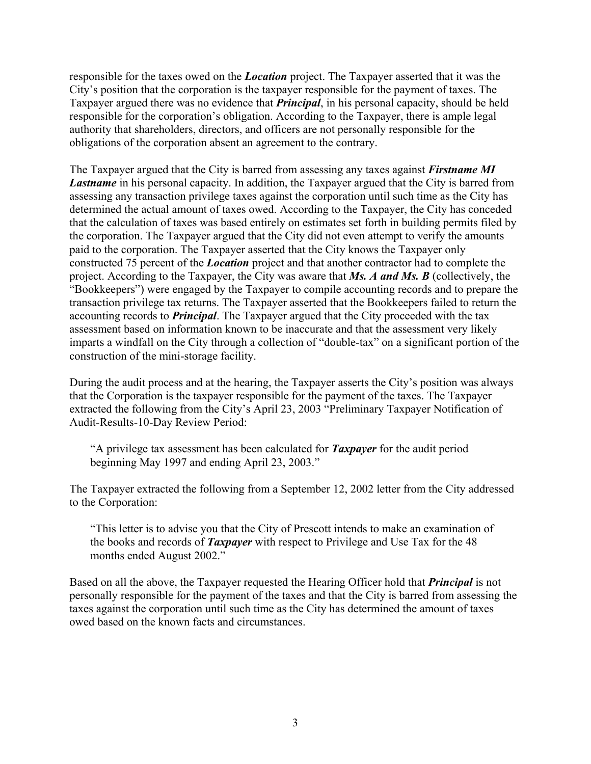responsible for the taxes owed on the *Location* project. The Taxpayer asserted that it was the City's position that the corporation is the taxpayer responsible for the payment of taxes. The Taxpayer argued there was no evidence that *Principal*, in his personal capacity, should be held responsible for the corporation's obligation. According to the Taxpayer, there is ample legal authority that shareholders, directors, and officers are not personally responsible for the obligations of the corporation absent an agreement to the contrary.

The Taxpayer argued that the City is barred from assessing any taxes against *Firstname MI Lastname* in his personal capacity. In addition, the Taxpayer argued that the City is barred from assessing any transaction privilege taxes against the corporation until such time as the City has determined the actual amount of taxes owed. According to the Taxpayer, the City has conceded that the calculation of taxes was based entirely on estimates set forth in building permits filed by the corporation. The Taxpayer argued that the City did not even attempt to verify the amounts paid to the corporation. The Taxpayer asserted that the City knows the Taxpayer only constructed 75 percent of the *Location* project and that another contractor had to complete the project. According to the Taxpayer, the City was aware that *Ms. A and Ms. B* (collectively, the "Bookkeepers") were engaged by the Taxpayer to compile accounting records and to prepare the transaction privilege tax returns. The Taxpayer asserted that the Bookkeepers failed to return the accounting records to *Principal*. The Taxpayer argued that the City proceeded with the tax assessment based on information known to be inaccurate and that the assessment very likely imparts a windfall on the City through a collection of "double-tax" on a significant portion of the construction of the mini-storage facility.

During the audit process and at the hearing, the Taxpayer asserts the City's position was always that the Corporation is the taxpayer responsible for the payment of the taxes. The Taxpayer extracted the following from the City's April 23, 2003 "Preliminary Taxpayer Notification of Audit-Results-10-Day Review Period:

"A privilege tax assessment has been calculated for *Taxpayer* for the audit period beginning May 1997 and ending April 23, 2003."

The Taxpayer extracted the following from a September 12, 2002 letter from the City addressed to the Corporation:

"This letter is to advise you that the City of Prescott intends to make an examination of the books and records of *Taxpayer* with respect to Privilege and Use Tax for the 48 months ended August 2002."

Based on all the above, the Taxpayer requested the Hearing Officer hold that *Principal* is not personally responsible for the payment of the taxes and that the City is barred from assessing the taxes against the corporation until such time as the City has determined the amount of taxes owed based on the known facts and circumstances.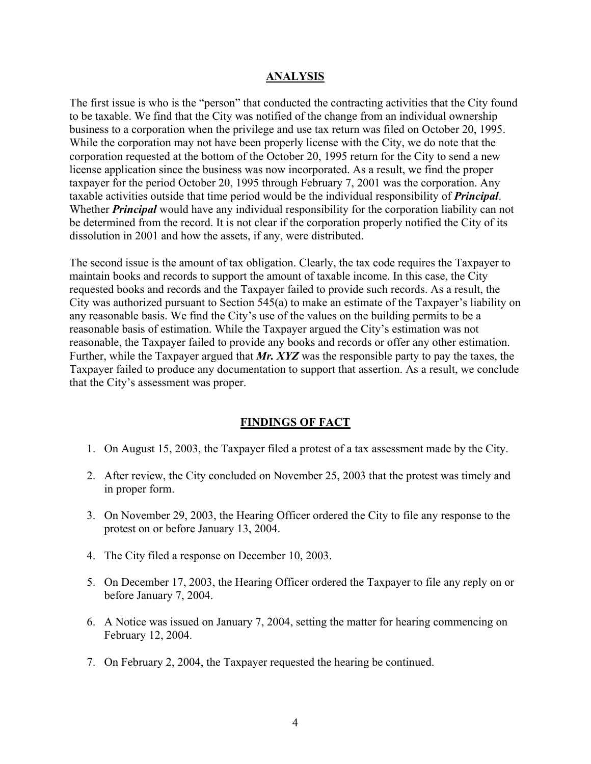### **ANALYSIS**

The first issue is who is the "person" that conducted the contracting activities that the City found to be taxable. We find that the City was notified of the change from an individual ownership business to a corporation when the privilege and use tax return was filed on October 20, 1995. While the corporation may not have been properly license with the City, we do note that the corporation requested at the bottom of the October 20, 1995 return for the City to send a new license application since the business was now incorporated. As a result, we find the proper taxpayer for the period October 20, 1995 through February 7, 2001 was the corporation. Any taxable activities outside that time period would be the individual responsibility of *Principal*. Whether *Principal* would have any individual responsibility for the corporation liability can not be determined from the record. It is not clear if the corporation properly notified the City of its dissolution in 2001 and how the assets, if any, were distributed.

The second issue is the amount of tax obligation. Clearly, the tax code requires the Taxpayer to maintain books and records to support the amount of taxable income. In this case, the City requested books and records and the Taxpayer failed to provide such records. As a result, the City was authorized pursuant to Section 545(a) to make an estimate of the Taxpayer's liability on any reasonable basis. We find the City's use of the values on the building permits to be a reasonable basis of estimation. While the Taxpayer argued the City's estimation was not reasonable, the Taxpayer failed to provide any books and records or offer any other estimation. Further, while the Taxpayer argued that *Mr. XYZ* was the responsible party to pay the taxes, the Taxpayer failed to produce any documentation to support that assertion. As a result, we conclude that the City's assessment was proper.

### **FINDINGS OF FACT**

- 1. On August 15, 2003, the Taxpayer filed a protest of a tax assessment made by the City.
- 2. After review, the City concluded on November 25, 2003 that the protest was timely and in proper form.
- 3. On November 29, 2003, the Hearing Officer ordered the City to file any response to the protest on or before January 13, 2004.
- 4. The City filed a response on December 10, 2003.
- 5. On December 17, 2003, the Hearing Officer ordered the Taxpayer to file any reply on or before January 7, 2004.
- 6. A Notice was issued on January 7, 2004, setting the matter for hearing commencing on February 12, 2004.
- 7. On February 2, 2004, the Taxpayer requested the hearing be continued.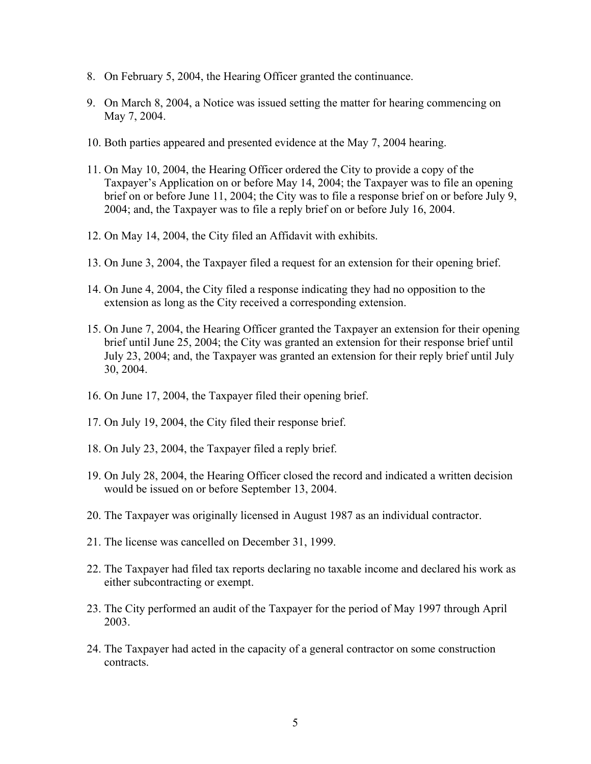- 8. On February 5, 2004, the Hearing Officer granted the continuance.
- 9. On March 8, 2004, a Notice was issued setting the matter for hearing commencing on May 7, 2004.
- 10. Both parties appeared and presented evidence at the May 7, 2004 hearing.
- 11. On May 10, 2004, the Hearing Officer ordered the City to provide a copy of the Taxpayer's Application on or before May 14, 2004; the Taxpayer was to file an opening brief on or before June 11, 2004; the City was to file a response brief on or before July 9, 2004; and, the Taxpayer was to file a reply brief on or before July 16, 2004.
- 12. On May 14, 2004, the City filed an Affidavit with exhibits.
- 13. On June 3, 2004, the Taxpayer filed a request for an extension for their opening brief.
- 14. On June 4, 2004, the City filed a response indicating they had no opposition to the extension as long as the City received a corresponding extension.
- 15. On June 7, 2004, the Hearing Officer granted the Taxpayer an extension for their opening brief until June 25, 2004; the City was granted an extension for their response brief until July 23, 2004; and, the Taxpayer was granted an extension for their reply brief until July 30, 2004.
- 16. On June 17, 2004, the Taxpayer filed their opening brief.
- 17. On July 19, 2004, the City filed their response brief.
- 18. On July 23, 2004, the Taxpayer filed a reply brief.
- 19. On July 28, 2004, the Hearing Officer closed the record and indicated a written decision would be issued on or before September 13, 2004.
- 20. The Taxpayer was originally licensed in August 1987 as an individual contractor.
- 21. The license was cancelled on December 31, 1999.
- 22. The Taxpayer had filed tax reports declaring no taxable income and declared his work as either subcontracting or exempt.
- 23. The City performed an audit of the Taxpayer for the period of May 1997 through April 2003.
- 24. The Taxpayer had acted in the capacity of a general contractor on some construction contracts.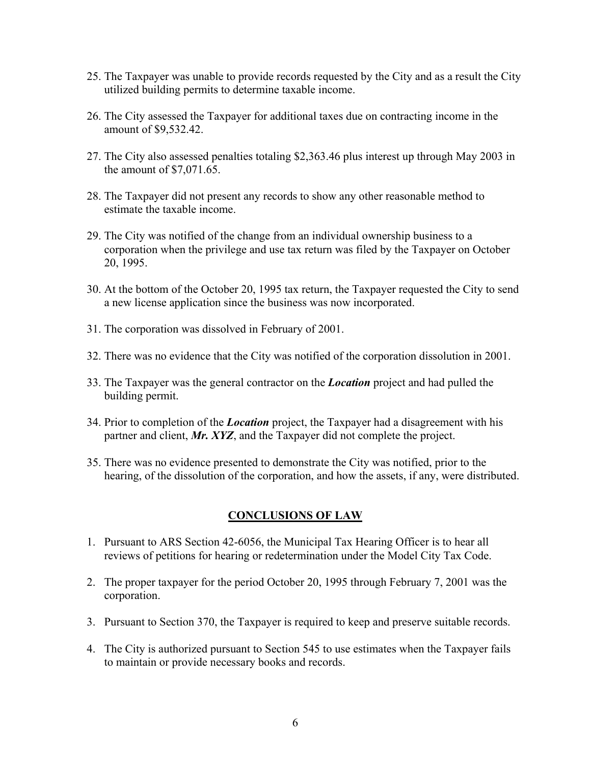- 25. The Taxpayer was unable to provide records requested by the City and as a result the City utilized building permits to determine taxable income.
- 26. The City assessed the Taxpayer for additional taxes due on contracting income in the amount of \$9,532.42.
- 27. The City also assessed penalties totaling \$2,363.46 plus interest up through May 2003 in the amount of \$7,071.65.
- 28. The Taxpayer did not present any records to show any other reasonable method to estimate the taxable income.
- 29. The City was notified of the change from an individual ownership business to a corporation when the privilege and use tax return was filed by the Taxpayer on October 20, 1995.
- 30. At the bottom of the October 20, 1995 tax return, the Taxpayer requested the City to send a new license application since the business was now incorporated.
- 31. The corporation was dissolved in February of 2001.
- 32. There was no evidence that the City was notified of the corporation dissolution in 2001.
- 33. The Taxpayer was the general contractor on the *Location* project and had pulled the building permit.
- 34. Prior to completion of the *Location* project, the Taxpayer had a disagreement with his partner and client, *Mr. XYZ*, and the Taxpayer did not complete the project.
- 35. There was no evidence presented to demonstrate the City was notified, prior to the hearing, of the dissolution of the corporation, and how the assets, if any, were distributed.

# **CONCLUSIONS OF LAW**

- 1. Pursuant to ARS Section 42-6056, the Municipal Tax Hearing Officer is to hear all reviews of petitions for hearing or redetermination under the Model City Tax Code.
- 2. The proper taxpayer for the period October 20, 1995 through February 7, 2001 was the corporation.
- 3. Pursuant to Section 370, the Taxpayer is required to keep and preserve suitable records.
- 4. The City is authorized pursuant to Section 545 to use estimates when the Taxpayer fails to maintain or provide necessary books and records.